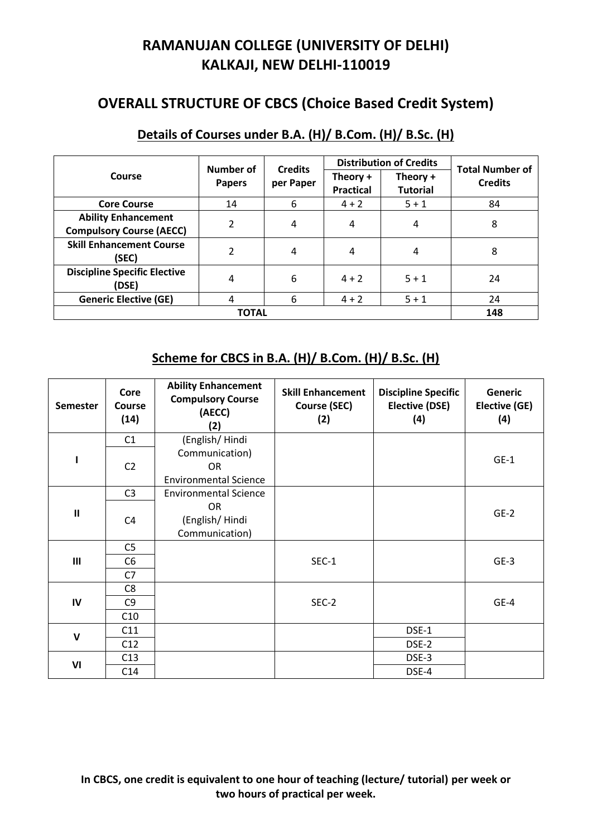# **RAMANUJAN COLLEGE (UNIVERSITY OF DELHI) KALKAJI, NEW DELHI-110019**

### **OVERALL STRUCTURE OF CBCS (Choice Based Credit System)**

|                                                               | Number of                | <b>Credits</b><br>per Paper |                              | <b>Distribution of Credits</b> | <b>Total Number of</b> |
|---------------------------------------------------------------|--------------------------|-----------------------------|------------------------------|--------------------------------|------------------------|
| Course                                                        | <b>Papers</b>            |                             | Theory +<br><b>Practical</b> | Theory +<br><b>Tutorial</b>    | <b>Credits</b>         |
| <b>Core Course</b>                                            | 14                       | 6                           | $4 + 2$                      | $5 + 1$                        | 84                     |
| <b>Ability Enhancement</b><br><b>Compulsory Course (AECC)</b> | $\overline{\mathcal{L}}$ | 4                           | 4                            | 4                              | 8                      |
| <b>Skill Enhancement Course</b><br>(SEC)                      | $\overline{\mathcal{L}}$ | 4                           | 4                            | 4                              | 8                      |
| <b>Discipline Specific Elective</b><br>(DSE)                  | 4                        | 6                           | $4 + 2$                      | $5 + 1$                        | 24                     |
| <b>Generic Elective (GE)</b>                                  | 4                        | 6                           | $4 + 2$                      | $5 + 1$                        | 24                     |
|                                                               | 148                      |                             |                              |                                |                        |

## **Details of Courses under B.A. (H)/ B.Com. (H)/ B.Sc. (H)**

#### **Scheme for CBCS in B.A. (H)/ B.Com. (H)/ B.Sc. (H)**

| <b>Semester</b> | Core<br>Course<br>(14) | <b>Ability Enhancement</b><br><b>Compulsory Course</b><br>(AECC)<br>(2) | <b>Skill Enhancement</b><br><b>Course (SEC)</b><br>(2) | <b>Discipline Specific</b><br><b>Elective (DSE)</b><br>(4) | Generic<br>Elective (GE)<br>(4) |
|-----------------|------------------------|-------------------------------------------------------------------------|--------------------------------------------------------|------------------------------------------------------------|---------------------------------|
|                 | C1                     | (English/Hindi                                                          |                                                        |                                                            |                                 |
| ı               | C <sub>2</sub>         | Communication)<br><b>OR</b><br><b>Environmental Science</b>             |                                                        |                                                            | $GE-1$                          |
|                 | C <sub>3</sub>         | <b>Environmental Science</b>                                            |                                                        |                                                            |                                 |
| $\mathbf{I}$    | C <sub>4</sub>         | <b>OR</b><br>(English/Hindi<br>Communication)                           |                                                        |                                                            | $GE-2$                          |
|                 | C <sub>5</sub>         |                                                                         |                                                        |                                                            |                                 |
| $\mathbf{III}$  | C <sub>6</sub>         |                                                                         | $SEC-1$                                                |                                                            | $GE-3$                          |
|                 | C7                     |                                                                         |                                                        |                                                            |                                 |
|                 | C <sub>8</sub>         |                                                                         |                                                        |                                                            |                                 |
| IV              | C <sub>9</sub>         |                                                                         | SEC-2                                                  |                                                            | GE-4                            |
|                 | C10                    |                                                                         |                                                        |                                                            |                                 |
| $\mathsf{V}$    | C11                    |                                                                         |                                                        | DSE-1                                                      |                                 |
|                 | C12                    |                                                                         |                                                        | DSE-2                                                      |                                 |
| VI              | C13                    |                                                                         |                                                        | DSE-3                                                      |                                 |
|                 | C14                    |                                                                         |                                                        | DSE-4                                                      |                                 |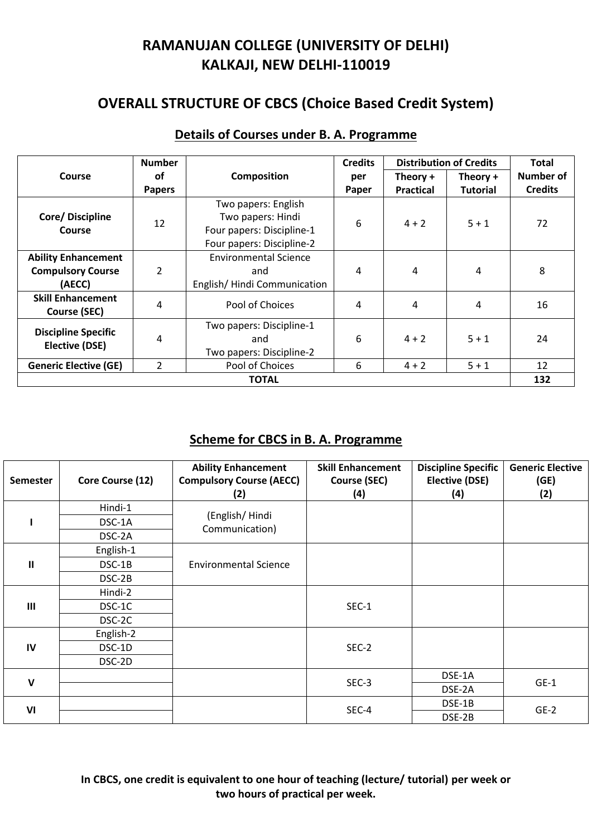# **RAMANUJAN COLLEGE (UNIVERSITY OF DELHI) KALKAJI, NEW DELHI-110019**

## **OVERALL STRUCTURE OF CBCS (Choice Based Credit System)**

|                                                                  | <b>Number</b>  |                                                                                                    |       | <b>Distribution of Credits</b> |                 | <b>Total</b>     |
|------------------------------------------------------------------|----------------|----------------------------------------------------------------------------------------------------|-------|--------------------------------|-----------------|------------------|
| <b>Course</b>                                                    | οf             | <b>Composition</b>                                                                                 | per   | Theory +                       | Theory +        | <b>Number of</b> |
|                                                                  | <b>Papers</b>  |                                                                                                    | Paper | <b>Practical</b>               | <b>Tutorial</b> | <b>Credits</b>   |
| Core/Discipline<br>Course                                        | 12             | Two papers: English<br>Two papers: Hindi<br>Four papers: Discipline-1<br>Four papers: Discipline-2 | 6     | $4 + 2$                        | $5 + 1$         | 72               |
| <b>Ability Enhancement</b><br><b>Compulsory Course</b><br>(AECC) | 2              | <b>Environmental Science</b><br>and<br>English/Hindi Communication                                 | 4     | 4                              | 4               | 8                |
| <b>Skill Enhancement</b><br><b>Course (SEC)</b>                  | 4              | Pool of Choices                                                                                    | 4     | 4                              | 4               | 16               |
| <b>Discipline Specific</b><br><b>Elective (DSE)</b>              | 4              | Two papers: Discipline-1<br>and<br>Two papers: Discipline-2                                        | 6     | $4 + 2$                        | $5 + 1$         | 24               |
| <b>Generic Elective (GE)</b>                                     | $\overline{2}$ | Pool of Choices                                                                                    | 6     | $4 + 2$                        | $5 + 1$         | 12               |
| <b>TOTAL</b>                                                     |                |                                                                                                    |       |                                |                 | 132              |

#### **Details of Courses under B. A. Programme**

### **Scheme for CBCS in B. A. Programme**

| <b>Semester</b> | Core Course (12) | <b>Ability Enhancement</b><br><b>Compulsory Course (AECC)</b><br>(2) | <b>Skill Enhancement</b><br><b>Course (SEC)</b><br>(4) | <b>Discipline Specific</b><br><b>Elective (DSE)</b><br>(4) | <b>Generic Elective</b><br>(GE)<br>(2) |
|-----------------|------------------|----------------------------------------------------------------------|--------------------------------------------------------|------------------------------------------------------------|----------------------------------------|
|                 | Hindi-1          |                                                                      |                                                        |                                                            |                                        |
|                 | DSC-1A           | (English/Hindi<br>Communication)                                     |                                                        |                                                            |                                        |
|                 | DSC-2A           |                                                                      |                                                        |                                                            |                                        |
|                 | English-1        |                                                                      |                                                        |                                                            |                                        |
| Ш               | DSC-1B           | <b>Environmental Science</b>                                         |                                                        |                                                            |                                        |
|                 | DSC-2B           |                                                                      |                                                        |                                                            |                                        |
|                 | Hindi-2          |                                                                      | SEC-1                                                  |                                                            |                                        |
| $\mathbf{III}$  | DSC-1C           |                                                                      |                                                        |                                                            |                                        |
|                 | DSC-2C           |                                                                      |                                                        |                                                            |                                        |
|                 | English-2        |                                                                      |                                                        |                                                            |                                        |
| IV              | DSC-1D           |                                                                      | SEC-2                                                  |                                                            |                                        |
|                 | DSC-2D           |                                                                      |                                                        |                                                            |                                        |
| v               |                  |                                                                      | SEC-3                                                  | DSE-1A                                                     | $GE-1$                                 |
|                 |                  |                                                                      |                                                        | DSE-2A                                                     |                                        |
| VI              |                  |                                                                      | SEC-4                                                  | DSE-1B                                                     | $GE-2$                                 |
|                 |                  |                                                                      |                                                        | DSE-2B                                                     |                                        |

**In CBCS, one credit is equivalent to one hour of teaching (lecture/ tutorial) per week or two hours of practical per week.**